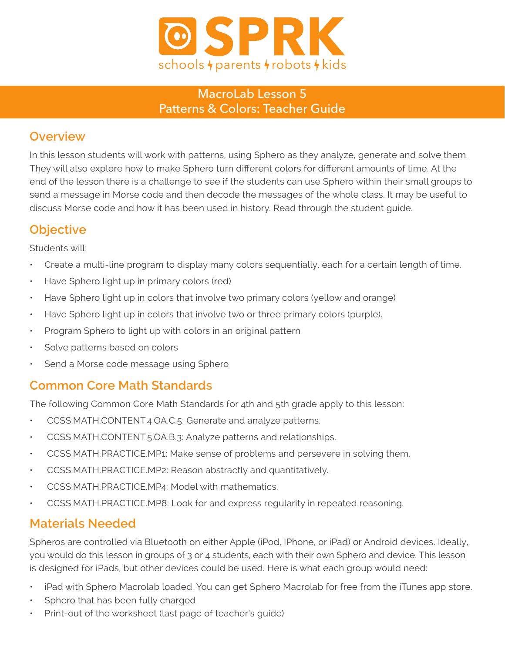

#### MacroLab Lesson 5 Patterns & Colors: Teacher Guide

### **Overview**

In this lesson students will work with patterns, using Sphero as they analyze, generate and solve them. They will also explore how to make Sphero turn different colors for different amounts of time. At the end of the lesson there is a challenge to see if the students can use Sphero within their small groups to send a message in Morse code and then decode the messages of the whole class. It may be useful to discuss Morse code and how it has been used in history. Read through the student guide.

### **Objective**

Students will:

- Create a multi-line program to display many colors sequentially, each for a certain length of time.
- Have Sphero light up in primary colors (red)
- Have Sphero light up in colors that involve two primary colors (yellow and orange)
- Have Sphero light up in colors that involve two or three primary colors (purple).
- Program Sphero to light up with colors in an original pattern
- Solve patterns based on colors
- Send a Morse code message using Sphero

### **Common Core Math Standards**

The following Common Core Math Standards for 4th and 5th grade apply to this lesson:

- CCSS.MATH.CONTENT.4.OA.C.5: Generate and analyze patterns.
- CCSS.MATH.CONTENT.5.OA.B.3: Analyze patterns and relationships.
- CCSS.MATH.PRACTICE.MP1: Make sense of problems and persevere in solving them.
- CCSS.MATH.PRACTICE.MP2: Reason abstractly and quantitatively.
- CCSS.MATH.PRACTICE.MP4: Model with mathematics.
- CCSS.MATH.PRACTICE.MP8: Look for and express regularity in repeated reasoning.

## **Materials Needed**

Spheros are controlled via Bluetooth on either Apple (iPod, IPhone, or iPad) or Android devices. Ideally, you would do this lesson in groups of 3 or 4 students, each with their own Sphero and device. This lesson is designed for iPads, but other devices could be used. Here is what each group would need:

- iPad with Sphero Macrolab loaded. You can get Sphero Macrolab for free from the iTunes app store.
- Sphero that has been fully charged
- Print-out of the worksheet (last page of teacher's quide)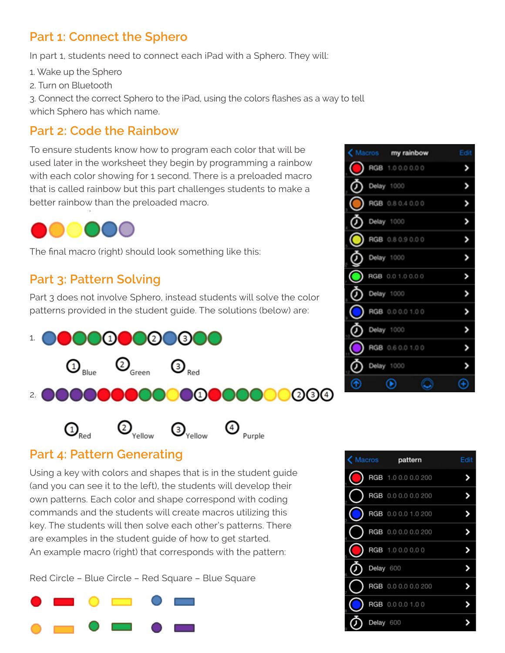### **Part 1: Connect the Sphero**

In part 1, students need to connect each iPad with a Sphero. They will:

1. Wake up the Sphero

2. Turn on Bluetooth

3. Connect the correct Sphero to the iPad, using the colors flashes as a way to tell which Sphero has which name.

#### **Part 2: Code the Rainbow**

To ensure students know how to program each color that will be used later in the worksheet they begin by programming a rainbow with each color showing for 1 second. There is a preloaded macro that is called rainbow but this part challenges students to make a better rainbow than the preloaded macro.



The final macro (right) should look something like this:

### **Part 3: Pattern Solving**

Part 3 does not involve Sphero, instead students will solve the color patterns provided in the student guide. The solutions (below) are:



#### **Part 4: Pattern Generating**

Using a key with colors and shapes that is in the student guide (and you can see it to the left), the students will develop their own patterns. Each color and shape correspond with coding commands and the students will create macros utilizing this key. The students will then solve each other's patterns. There are examples in the student guide of how to get started. An example macro (right) that corresponds with the pattern:

Red Circle – Blue Circle – Red Square – Blue Square



|   | (Macros my rainbow | Edit |
|---|--------------------|------|
|   | RGB 1.00.00.00     |      |
| ፓ | Delay 1000         |      |
|   | RGB 0.8 0.4 0.0 0  |      |
|   | Delay 1000         |      |
|   | RGB 0.8 0.9 0.0 0  |      |
|   | Delay 1000         |      |
|   | RGB 0.0 1.0 0.0 0  |      |
|   | Delay 1000         |      |
|   | RGB 0.0 0.0 1.0 0  |      |
|   | Delay 1000         |      |
|   | RGB 0.6 0.0 1.0 0  |      |
|   | Delay 1000         |      |
|   |                    |      |

| K Macros pattern |           |                     | Edit |
|------------------|-----------|---------------------|------|
|                  |           | RGB 1.0 0.0 0.0 200 |      |
|                  |           | RGB 0.0 0.0 0.0 200 |      |
|                  |           | RGB 0.0 0.0 1.0 200 |      |
|                  |           | RGB 0.0 0.0 0.0 200 |      |
|                  |           | RGB 1.0 0.0 0.0 0   |      |
|                  | Delay 600 |                     |      |
|                  |           | RGB 0.0 0.0 0.0 200 |      |
|                  |           | RGB 0.0 0.0 1.0 0   |      |
|                  | Delay 600 |                     |      |